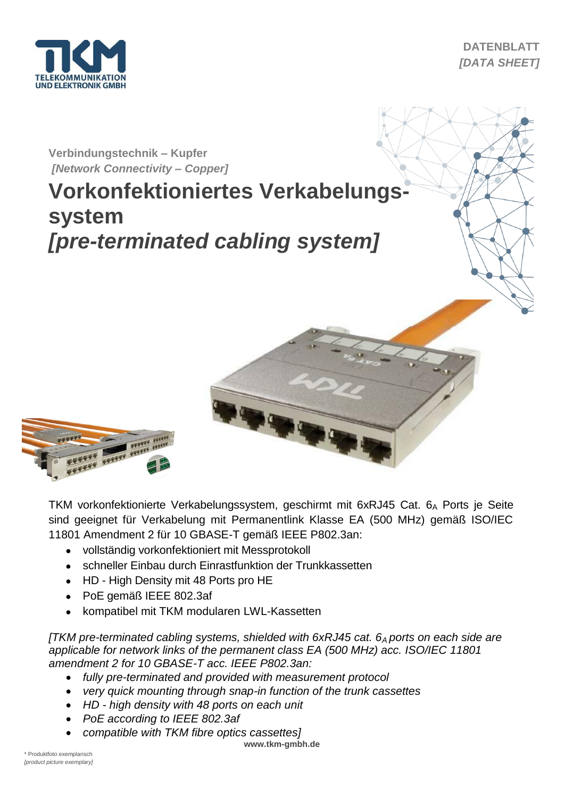

**DATENBLATT** *[DATA SHEET]*

## **Verbindungstechnik – Kupfer** *[Network Connectivity* **–** *Copper]*

# **Vorkonfektioniertes Verkabelungssystem** *[pre-terminated cabling system]*



TKM vorkonfektionierte Verkabelungssystem, geschirmt mit 6xRJ45 Cat. 6A Ports je Seite sind geeignet für Verkabelung mit Permanentlink Klasse EA (500 MHz) gemäß ISO/IEC 11801 Amendment 2 für 10 GBASE-T gemäß IEEE P802.3an:

- vollständig vorkonfektioniert mit Messprotokoll
- schneller Einbau durch Einrastfunktion der Trunkkassetten
- HD High Density mit 48 Ports pro HE
- PoE gemäß IEEE 802.3af
- kompatibel mit TKM modularen LWL-Kassetten

*[TKM pre-terminated cabling systems, shielded with 6xRJ45 cat. 6A ports on each side are applicable for network links of the permanent class EA (500 MHz) acc. ISO/IEC 11801 amendment 2 for 10 GBASE-T acc. IEEE P802.3an:*

- *fully pre-terminated and provided with measurement protocol*
- *very quick mounting through snap-in function of the trunk cassettes*
- *HD - high density with 48 ports on each unit*
- *PoE according to IEEE 802.3af*
- *compatible with TKM fibre optics cassettes]*

**www.tkm-gmbh.de**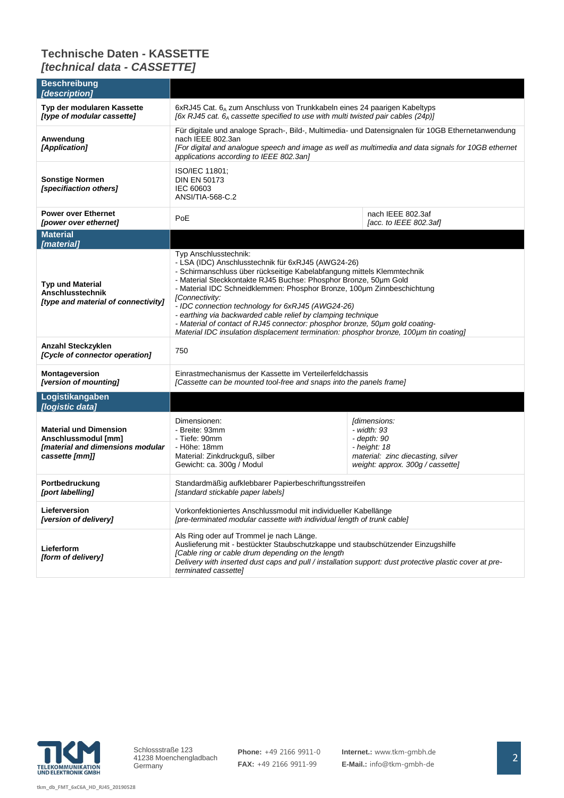### **Technische Daten - KASSETTE** *[technical data - CASSETTE]*

| <b>Beschreibung</b><br>[description]                                                                       |                                                                                                                                                                                                                                                                                                                                                                                                                                                                                                                                                                                                                     |                                                                                                                                                     |  |
|------------------------------------------------------------------------------------------------------------|---------------------------------------------------------------------------------------------------------------------------------------------------------------------------------------------------------------------------------------------------------------------------------------------------------------------------------------------------------------------------------------------------------------------------------------------------------------------------------------------------------------------------------------------------------------------------------------------------------------------|-----------------------------------------------------------------------------------------------------------------------------------------------------|--|
| Typ der modularen Kassette<br>[type of modular cassette]                                                   | 6xRJ45 Cat. 6 <sub>A</sub> zum Anschluss von Trunkkabeln eines 24 paarigen Kabeltyps<br>[6x RJ45 cat. $6_A$ cassette specified to use with multi twisted pair cables (24p)]                                                                                                                                                                                                                                                                                                                                                                                                                                         |                                                                                                                                                     |  |
| Anwendung<br>[Application]                                                                                 | Für digitale und analoge Sprach-, Bild-, Multimedia- und Datensignalen für 10GB Ethernetanwendung<br>nach IEEE 802.3an<br>[For digital and analogue speech and image as well as multimedia and data signals for 10GB ethernet<br>applications according to IEEE 802.3an]                                                                                                                                                                                                                                                                                                                                            |                                                                                                                                                     |  |
| <b>Sonstige Normen</b><br>[specifiaction others]                                                           | ISO/IEC 11801;<br><b>DIN EN 50173</b><br>IEC 60603<br>ANSI/TIA-568-C.2                                                                                                                                                                                                                                                                                                                                                                                                                                                                                                                                              |                                                                                                                                                     |  |
| <b>Power over Ethernet</b><br>[power over ethernet]                                                        | nach IEEE 802.3af<br>PoE<br>[acc. to IEEE 802.3af]                                                                                                                                                                                                                                                                                                                                                                                                                                                                                                                                                                  |                                                                                                                                                     |  |
| <b>Material</b><br>[material]                                                                              |                                                                                                                                                                                                                                                                                                                                                                                                                                                                                                                                                                                                                     |                                                                                                                                                     |  |
| <b>Typ und Material</b><br><b>Anschlusstechnik</b><br>[type and material of connectivity]                  | Typ Anschlusstechnik:<br>- LSA (IDC) Anschlusstechnik für 6xRJ45 (AWG24-26)<br>- Schirmanschluss über rückseitige Kabelabfangung mittels Klemmtechnik<br>- Material Steckkontakte RJ45 Buchse: Phosphor Bronze, 50um Gold<br>- Material IDC Schneidklemmen: Phosphor Bronze, 100um Zinnbeschichtung<br>[Connectivity:<br>- IDC connection technology for 6xRJ45 (AWG24-26)<br>- earthing via backwarded cable relief by clamping technique<br>- Material of contact of RJ45 connector: phosphor bronze, 50um gold coating-<br>Material IDC insulation displacement termination: phosphor bronze, 100µm tin coating] |                                                                                                                                                     |  |
| Anzahl Steckzyklen<br>[Cycle of connector operation]                                                       | 750                                                                                                                                                                                                                                                                                                                                                                                                                                                                                                                                                                                                                 |                                                                                                                                                     |  |
| <b>Montageversion</b><br>[version of mounting]                                                             | Einrastmechanismus der Kassette im Verteilerfeldchassis<br>[Cassette can be mounted tool-free and snaps into the panels frame]                                                                                                                                                                                                                                                                                                                                                                                                                                                                                      |                                                                                                                                                     |  |
| Logistikangaben<br>[logistic data]                                                                         |                                                                                                                                                                                                                                                                                                                                                                                                                                                                                                                                                                                                                     |                                                                                                                                                     |  |
| <b>Material und Dimension</b><br>Anschlussmodul [mm]<br>[material and dimensions modular<br>cassette [mm]] | Dimensionen:<br>- Breite: 93mm<br>- Tiefe: 90mm<br>- Höhe: 18mm<br>Material: Zinkdruckguß, silber<br>Gewicht: ca. 300g / Modul                                                                                                                                                                                                                                                                                                                                                                                                                                                                                      | <i><b>Idimensions:</b></i><br>- width: 93<br>- depth: 90<br>$-$ height: 18<br>material: zinc diecasting, silver<br>weight: approx. 300g / cassette] |  |
| Portbedruckung<br>[port labelling]                                                                         | Standardmäßig aufklebbarer Papierbeschriftungsstreifen<br>[standard stickable paper labels]                                                                                                                                                                                                                                                                                                                                                                                                                                                                                                                         |                                                                                                                                                     |  |
| Lieferversion<br>[version of delivery]                                                                     | Vorkonfektioniertes Anschlussmodul mit individueller Kabellänge<br>[pre-terminated modular cassette with individual length of trunk cable]                                                                                                                                                                                                                                                                                                                                                                                                                                                                          |                                                                                                                                                     |  |
| Lieferform<br>[form of delivery]                                                                           | Als Ring oder auf Trommel je nach Länge.<br>Auslieferung mit - bestückter Staubschutzkappe und staubschützender Einzugshilfe<br>[Cable ring or cable drum depending on the length<br>Delivery with inserted dust caps and pull / installation support: dust protective plastic cover at pre-<br>terminated cassette]                                                                                                                                                                                                                                                                                                |                                                                                                                                                     |  |



**tkm\_db\_FMT\_6xC6A\_HD\_RJ45\_20190528**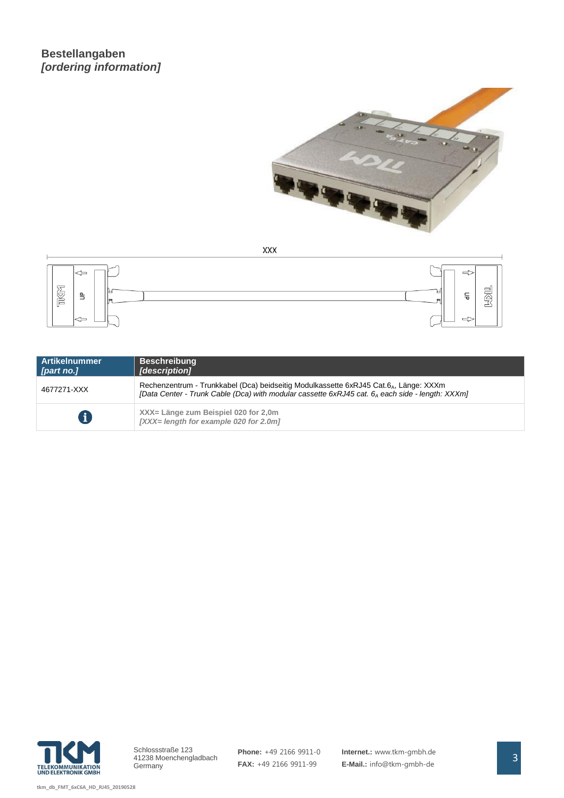### **Bestellangaben** *[ordering information]*



**XXX** 



| <b>Artikelnummer</b><br>[part no.] | <b>Beschreibung</b><br>[description]                                                                                                                                                                             |
|------------------------------------|------------------------------------------------------------------------------------------------------------------------------------------------------------------------------------------------------------------|
| 4677271-XXX                        | Rechenzentrum - Trunkkabel (Dca) beidseitig Modulkassette 6xRJ45 Cat.6 <sub>4</sub> , Länge: XXXm<br>[Data Center - Trunk Cable (Dca) with modular cassette 6xRJ45 cat. 6 <sub>A</sub> each side - length: XXXm] |
| 8                                  | XXX= Länge zum Beispiel 020 for 2,0m<br>$\left[$ XXX= length for example 020 for 2.0m $\right]$                                                                                                                  |

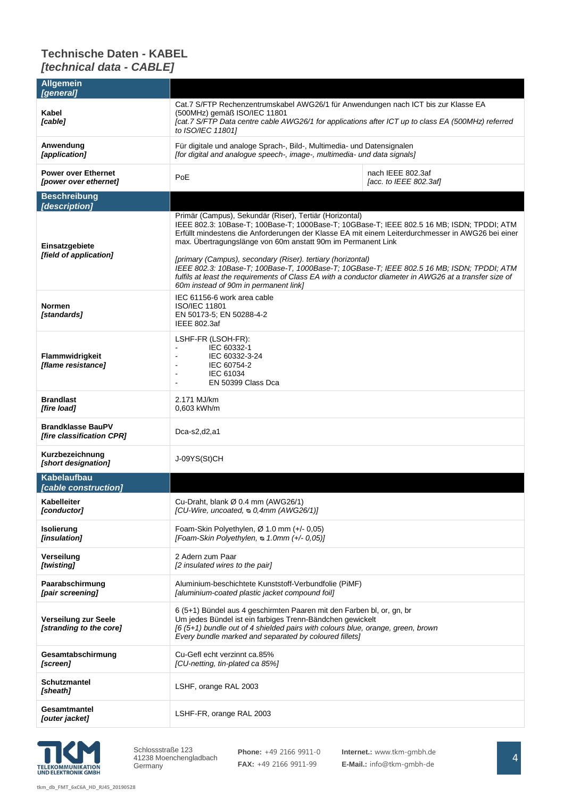### **Technische Daten - KABEL** *[technical data - CABLE]*

| <b>Allgemein</b><br>[general]                             |                                                                                                                                                                                                                                                                                                                                                                                                                                                                                                                                                                                                                                            |  |  |  |
|-----------------------------------------------------------|--------------------------------------------------------------------------------------------------------------------------------------------------------------------------------------------------------------------------------------------------------------------------------------------------------------------------------------------------------------------------------------------------------------------------------------------------------------------------------------------------------------------------------------------------------------------------------------------------------------------------------------------|--|--|--|
| Kabel<br>[cable]                                          | Cat.7 S/FTP Rechenzentrumskabel AWG26/1 für Anwendungen nach ICT bis zur Klasse EA<br>(500MHz) gemäß ISO/IEC 11801<br>[cat.7 S/FTP Data centre cable AWG26/1 for applications after ICT up to class EA (500MHz) referred<br>to ISO/IEC 11801]                                                                                                                                                                                                                                                                                                                                                                                              |  |  |  |
| Anwendung<br>[application]                                | Für digitale und analoge Sprach-, Bild-, Multimedia- und Datensignalen<br>[for digital and analogue speech-, image-, multimedia- und data signals]                                                                                                                                                                                                                                                                                                                                                                                                                                                                                         |  |  |  |
| <b>Power over Ethernet</b><br>[power over ethernet]       | nach IEEE 802.3af<br>PoE<br>[acc. to IEEE 802.3af]                                                                                                                                                                                                                                                                                                                                                                                                                                                                                                                                                                                         |  |  |  |
| <b>Beschreibung</b>                                       |                                                                                                                                                                                                                                                                                                                                                                                                                                                                                                                                                                                                                                            |  |  |  |
| [description]<br>Einsatzgebiete<br>[field of application] | Primär (Campus), Sekundär (Riser), Tertiär (Horizontal)<br>IEEE 802.3: 10Base-T; 100Base-T; 1000Base-T; 10GBase-T; IEEE 802.5 16 MB; ISDN; TPDDI; ATM<br>Erfüllt mindestens die Anforderungen der Klasse EA mit einem Leiterdurchmesser in AWG26 bei einer<br>max. Übertragungslänge von 60m anstatt 90m im Permanent Link<br>[primary (Campus), secondary (Riser). tertiary (horizontal)<br>IEEE 802.3: 10Base-T; 100Base-T, 1000Base-T; 10GBase-T; IEEE 802.5 16 MB; ISDN; TPDDI; ATM<br>fulfils at least the requirements of Class EA with a conductor diameter in AWG26 at a transfer size of<br>60m instead of 90m in permanent link] |  |  |  |
| <b>Normen</b><br>[standards]                              | IEC 61156-6 work area cable<br><b>ISO/IEC 11801</b><br>EN 50173-5; EN 50288-4-2<br>IEEE 802.3af                                                                                                                                                                                                                                                                                                                                                                                                                                                                                                                                            |  |  |  |
| Flammwidrigkeit<br>[flame resistance]                     | LSHF-FR (LSOH-FR):<br>IEC 60332-1<br>IEC 60332-3-24<br>IEC 60754-2<br>IEC 61034<br>L,<br>EN 50399 Class Dca                                                                                                                                                                                                                                                                                                                                                                                                                                                                                                                                |  |  |  |
| <b>Brandlast</b><br>[fire load]                           | 2.171 MJ/km<br>0,603 kWh/m                                                                                                                                                                                                                                                                                                                                                                                                                                                                                                                                                                                                                 |  |  |  |
| <b>Brandklasse BauPV</b><br>[fire classification CPR]     | Dca-s2,d2,a1                                                                                                                                                                                                                                                                                                                                                                                                                                                                                                                                                                                                                               |  |  |  |
| Kurzbezeichnung<br>[short designation]                    | J-09YS(St)CH                                                                                                                                                                                                                                                                                                                                                                                                                                                                                                                                                                                                                               |  |  |  |
| <b>Kabelaufbau</b><br><i>[cable construction]</i>         |                                                                                                                                                                                                                                                                                                                                                                                                                                                                                                                                                                                                                                            |  |  |  |
| Kabelleiter<br>[conductor]                                | Cu-Draht, blank Ø 0.4 mm (AWG26/1)<br>[CU-Wire, uncoated, $\infty$ 0,4mm (AWG26/1)]                                                                                                                                                                                                                                                                                                                                                                                                                                                                                                                                                        |  |  |  |
| Isolierung<br>[insulation]                                | Foam-Skin Polyethylen, $\varnothing$ 1.0 mm (+/- 0,05)<br>[Foam-Skin Polyethylen, s 1.0mm (+/- 0,05)]                                                                                                                                                                                                                                                                                                                                                                                                                                                                                                                                      |  |  |  |
| Verseilung<br>[twisting]                                  | 2 Adern zum Paar<br>[2 insulated wires to the pair]                                                                                                                                                                                                                                                                                                                                                                                                                                                                                                                                                                                        |  |  |  |
| Paarabschirmung<br>[pair screening]                       | Aluminium-beschichtete Kunststoff-Verbundfolie (PiMF)<br>[aluminium-coated plastic jacket compound foil]                                                                                                                                                                                                                                                                                                                                                                                                                                                                                                                                   |  |  |  |
| Verseilung zur Seele<br>[stranding to the core]           | 6 (5+1) Bündel aus 4 geschirmten Paaren mit den Farben bl, or, gn, br<br>Um jedes Bündel ist ein farbiges Trenn-Bändchen gewickelt<br>[6 (5+1) bundle out of 4 shielded pairs with colours blue, orange, green, brown<br>Every bundle marked and separated by coloured fillets]                                                                                                                                                                                                                                                                                                                                                            |  |  |  |
| Gesamtabschirmung<br>[screen]                             | Cu-Gefl echt verzinnt ca.85%<br>[CU-netting, tin-plated ca 85%]                                                                                                                                                                                                                                                                                                                                                                                                                                                                                                                                                                            |  |  |  |
| <b>Schutzmantel</b><br>[sheath]                           | LSHF, orange RAL 2003                                                                                                                                                                                                                                                                                                                                                                                                                                                                                                                                                                                                                      |  |  |  |
| Gesamtmantel<br>[outer jacket]                            | LSHF-FR, orange RAL 2003                                                                                                                                                                                                                                                                                                                                                                                                                                                                                                                                                                                                                   |  |  |  |



**Phone:** +49 2166 9911-0 **FAX:** +49 2166 9911-99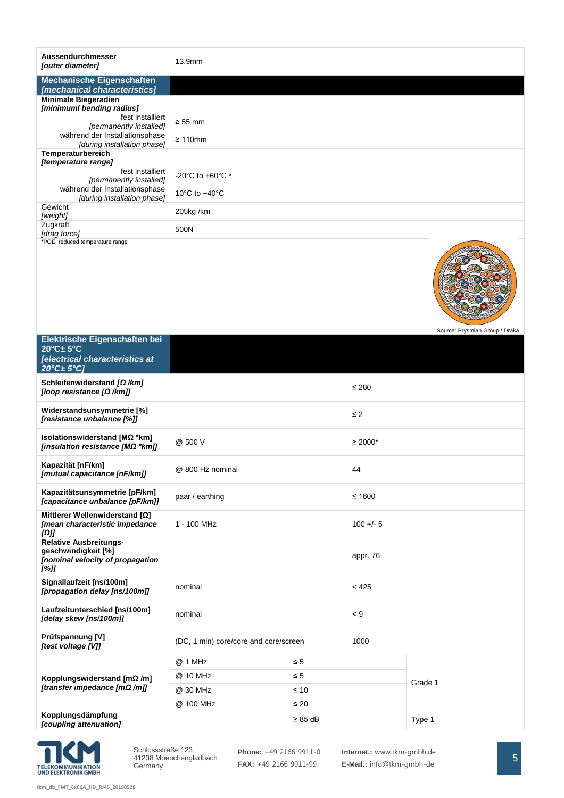| Aussendurchmesser<br>[outer diameter]                                                            | 13.9mm                                          |           |             |                                |  |
|--------------------------------------------------------------------------------------------------|-------------------------------------------------|-----------|-------------|--------------------------------|--|
| <b>Mechanische Eigenschaften</b><br>[mechanical characteristics]                                 |                                                 |           |             |                                |  |
| <b>Minimale Biegeradien</b><br>[minimuml bending radius]                                         |                                                 |           |             |                                |  |
| fest installiert<br>[permanently installed]                                                      | $\geq 55$ mm                                    |           |             |                                |  |
| während der Installationsphase<br>[during installation phase]                                    | $\geq 110$ mm                                   |           |             |                                |  |
| Temperaturbereich<br>[temperature range]                                                         |                                                 |           |             |                                |  |
| fest installiert<br>[permanently installed]                                                      | -20 $^{\circ}$ C to +60 $^{\circ}$ C $^{\star}$ |           |             |                                |  |
| während der Installationsphase<br>[during installation phase]                                    | 10 $\degree$ C to +40 $\degree$ C               |           |             |                                |  |
| Gewicht<br>[weight]                                                                              | 205kg/km                                        |           |             |                                |  |
| Zugkraft<br>[drag force]                                                                         | 500N                                            |           |             |                                |  |
| *POE, reduced temperature range                                                                  |                                                 |           |             | Source: Prysmian Group / Draka |  |
| Elektrische Eigenschaften bei<br>$20^{\circ}$ C $\pm$ 5°C                                        |                                                 |           |             |                                |  |
| [electrical characteristics at<br>$20^{\circ}$ C $\pm$ 5°C]                                      |                                                 |           |             |                                |  |
| Schleifenwiderstand $\Omega$ /km]<br>[loop resistance [Ω /km]]                                   |                                                 |           | ≤ 280       |                                |  |
| Widerstandsunsymmetrie [%]<br>[resistance unbalance [%]]                                         |                                                 |           | $\leq 2$    |                                |  |
| Isolationswiderstand [MΩ *km]<br>[insulation resistance [M $\Omega$ *km]]                        | @ 500 V                                         |           | $≥ 2000*$   |                                |  |
| Kapazität [nF/km]<br>[mutual capacitance [nF/km]]                                                | @ 800 Hz nominal                                |           | 44          |                                |  |
| Kapazitätsunsymmetrie [pF/km]<br>[capacitance unbalance [pF/km]]                                 | paar / earthing                                 |           | $≤ 1600$    |                                |  |
| Mittlerer Wellenwiderstand [Ω]<br>[mean characteristic impedance<br>$\left[\Omega\right]$        | 1 - 100 MHz                                     |           | $100 + - 5$ |                                |  |
| <b>Relative Ausbreitungs-</b><br>geschwindigkeit [%]<br>[nominal velocity of propagation<br>[%]] |                                                 |           | appr. 76    |                                |  |
| Signallaufzeit [ns/100m]<br>[propagation delay [ns/100m]]                                        | nominal                                         |           | < 425       |                                |  |
| Laufzeitunterschied [ns/100m]<br>[delay skew [ns/100m]]                                          | nominal                                         |           | < 9         |                                |  |
| Prüfspannung [V]<br>[test voltage [V]]                                                           | (DC, 1 min) core/core and core/screen           |           | 1000        |                                |  |
|                                                                                                  | @ 1 MHz                                         | $\leq 5$  |             |                                |  |
| Kopplungswiderstand $[m\Omega/m]$<br>[transfer impedance [mΩ /m]]                                | @ 10 MHz                                        | $\leq 5$  |             | Grade 1                        |  |
|                                                                                                  | @ 30 MHz                                        | $\leq 10$ |             |                                |  |
| Kopplungsdämpfung                                                                                | @ 100 MHz<br>$\leq 20$                          |           |             |                                |  |
| [coupling attenuation]                                                                           | $\geq 85$ dB                                    |           |             | Type 1                         |  |